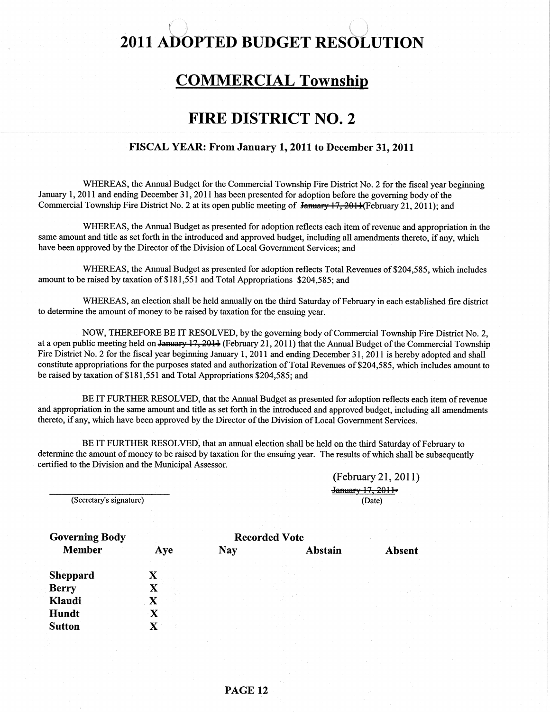#### I i. J. market and the second control of the second control of the second control of the second control of the<br>International control of the second control of the second control of the second control of the second control 2011 ADOPTED BUDGET RESOLUTION

li:

# **COMMERCIAL Township**

# FIRE DISTRICT NO. 2

#### FISCAL YEAR: From January 1, 2011 to December 31, 2011

WHEREAS, the Annual Budget for the Commercial Township Fire District No. 2 for the fiscal year beginning January 1, 2011 and ending December 31, 2011 has been presented for adoption before the governing body of the Commercial Township Fire District No. 2 at its open public meeting of January 17, 2011(February 21, 2011); and

WHEREAS, the Annual Budget as presented for adoption reflects each item of revenue and appropriation in the same amount and title as set forth in the introduced and approved budget, including all amendments thereto, if any, which have been approved by the Director of the Division of local Govemment Services; and

WHEREAS, the Annual Budget as presented for adoption reflects Total Revenues of \$204,585, which includes amount to be raised by taxation of \$181,551 and Total Appropriations \$204,585; and

WHEREAS, an election shall be held annually on the third Saturday of February in each established fire distict to determine the amount of money to be raised by taxation for the ensuing year.

NOW, THEREFORE BE IT RESOLVED, by the governing body of Commercial Township Fire District No. 2, at a open public meeting held on January 17, 2014 (February 21, 2011) that the Annual Budget of the Commercial Township Fire District No. 2 for the fiscal year beginning January 1, 2011 and ending December 31, 2011 is hereby adopted and shall constitute appropriations for the purposes stated and authorization of Total Revenues of \$204,585, which includes amount to be raised by taxation of \$181,551 and Total Appropriations \$204,585; and

BE IT FURTHER RESOLVED, that the Annual Budget as presented for adoption reflects each item of revenue and appropriation in the same amount and title as set forth in the introduced and approved budget, including all amendments thereto, if any, which have been approved by the Director of the Division of Local Government Services.

BE IT FURTHER RESOLVED, that an annual election shall be held on the third Saturday of February to determine the amount of money to be raised by taxation for the ensuing year. The results of which shall be subsequently certified to the Division and the Municipal Assessor.

> (February 2l,20ll) January 17, 2011-(Date)

(Secretary's signature)

| <b>Governing Body</b> | <b>Recorded Vote</b> |            |         |  |               |
|-----------------------|----------------------|------------|---------|--|---------------|
| <b>Member</b>         | Aye                  | <b>Nay</b> | Abstain |  | <b>Absent</b> |
| <b>Sheppard</b>       |                      |            |         |  |               |
| <b>Berry</b>          |                      |            |         |  |               |
| Klaudi                | $\mathbf X$          |            |         |  |               |
| Hundt                 |                      |            |         |  |               |
| <b>Sutton</b>         |                      |            |         |  |               |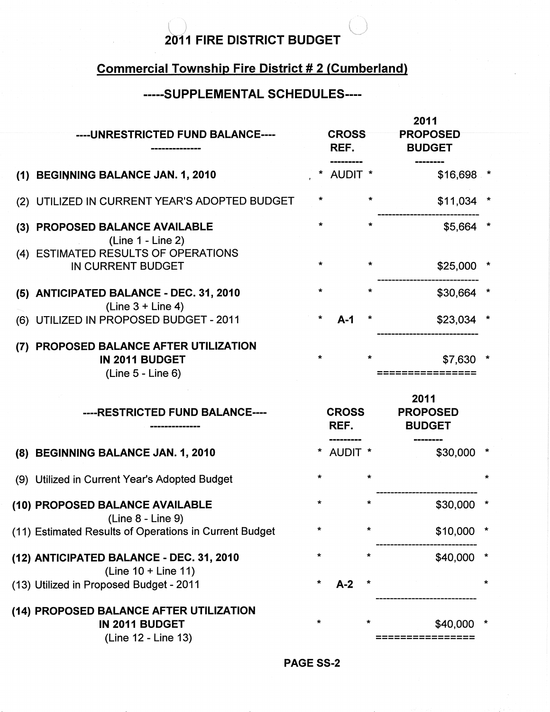# 2011 FIRE DISTRICT BUDGET

l.

# Commercial Township Fire District # 2 (Cumberland)

# .....S UPPLEMENTAL SGHEDULES.-..

|     | ----UNRESTRICTED FUND BALANCE----<br>---------------                          |         | <b>CROSS</b><br>REF. |         | 2011<br><b>PROPOSED</b><br><b>BUDGET</b> |  |
|-----|-------------------------------------------------------------------------------|---------|----------------------|---------|------------------------------------------|--|
|     | (1) BEGINNING BALANCE JAN. 1, 2010                                            |         | <b>AUDIT *</b>       |         | \$16,698 *                               |  |
|     | (2) UTILIZED IN CURRENT YEAR'S ADOPTED BUDGET                                 | *       |                      | $\star$ | \$11,034                                 |  |
| (3) | PROPOSED BALANCE AVAILABLE<br>(Line 1 - Line 2)                               | *       |                      |         | \$5,664                                  |  |
|     | (4) ESTIMATED RESULTS OF OPERATIONS<br>IN CURRENT BUDGET                      | $\star$ |                      | *       | \$25,000                                 |  |
|     | (5) ANTICIPATED BALANCE - DEC. 31, 2010<br>$(Line 3 + Line 4)$                | *       |                      | $\star$ | \$30,664                                 |  |
|     | (6) UTILIZED IN PROPOSED BUDGET - 2011                                        |         | $A-1$                |         | \$23,034                                 |  |
| (7) | PROPOSED BALANCE AFTER UTILIZATION<br>IN 2011 BUDGET<br>$(Line 5 - Line 6)$   | $\star$ |                      | $\star$ | \$7,630                                  |  |
|     |                                                                               |         |                      |         |                                          |  |
|     | ----RESTRICTED FUND BALANCE----                                               |         | <b>CROSS</b><br>REF. |         | 2011<br><b>PROPOSED</b><br><b>BUDGET</b> |  |
|     | (8) BEGINNING BALANCE JAN. 1, 2010                                            |         | * AUDIT *            |         | \$30,000                                 |  |
|     | (9) Utilized in Current Year's Adopted Budget                                 | *       |                      | $\ast$  |                                          |  |
|     | (10) PROPOSED BALANCE AVAILABLE                                               | $\star$ |                      |         | \$30,000                                 |  |
|     | $(Line 8 - Line 9)$<br>(11) Estimated Results of Operations in Current Budget | $\star$ |                      | $\star$ | $$10,000$ *                              |  |
|     | (12) ANTICIPATED BALANCE - DEC. 31, 2010                                      | ÷       |                      | $\star$ | \$40,000                                 |  |
|     | (Line 10 + Line 11)<br>(13) Utilized in Proposed Budget - 2011                | *       | $A-2$                |         |                                          |  |

PAGE SS-2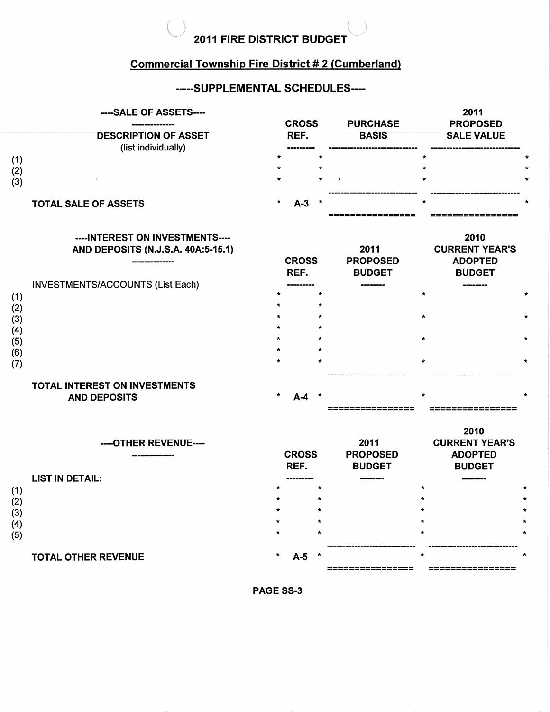# 2011 FIRE DISTRICT BUDGET  $\overline{\phantom{a}}^-$

is the contract of the contract of the contract of the contract of the contract of the contract of the contract of the contract of the contract of the contract of the contract of the contract of the contract of the contra

## Commercial Township Fire District # 2 (Cumberland)

## -----SUPPLEMENTAL SCHEDULES----

|            | ----SALE OF ASSETS----                                                                   | <b>CROSS</b>         | <b>PURCHASE</b>                          | 2011<br><b>PROPOSED</b>                                          |  |
|------------|------------------------------------------------------------------------------------------|----------------------|------------------------------------------|------------------------------------------------------------------|--|
|            | <b>DESCRIPTION OF ASSET</b><br>(list individually)                                       | REF.                 | <b>BASIS</b>                             | <b>SALE VALUE</b>                                                |  |
| (1)        |                                                                                          | $\star$              |                                          | $\star$                                                          |  |
| (2)        |                                                                                          | $\star$              |                                          |                                                                  |  |
| (3)        |                                                                                          |                      |                                          |                                                                  |  |
|            | <b>TOTAL SALE OF ASSETS</b>                                                              | $\star$<br>$A-3$     |                                          |                                                                  |  |
|            | ----INTEREST ON INVESTMENTS----<br>AND DEPOSITS (N.J.S.A. 40A:5-15.1)<br>--------------- | <b>CROSS</b><br>REF. | 2011<br><b>PROPOSED</b><br><b>BUDGET</b> | 2010<br><b>CURRENT YEAR'S</b><br><b>ADOPTED</b><br><b>BUDGET</b> |  |
|            | INVESTMENTS/ACCOUNTS (List Each)                                                         |                      |                                          |                                                                  |  |
| (1)        |                                                                                          | $\star$<br>$\star$   |                                          | $\star$                                                          |  |
| (2)<br>(3) |                                                                                          |                      |                                          | $\star$                                                          |  |
| (4)        |                                                                                          |                      |                                          |                                                                  |  |
| (5)        |                                                                                          |                      |                                          | $\star$                                                          |  |
| (6)<br>(7) |                                                                                          |                      |                                          |                                                                  |  |
|            |                                                                                          |                      |                                          |                                                                  |  |
|            | TOTAL INTEREST ON INVESTMENTS                                                            | $\star$              |                                          | $\star$                                                          |  |
|            | <b>AND DEPOSITS</b>                                                                      | $A-4$                |                                          |                                                                  |  |
|            | ----OTHER REVENUE----<br>,,,,,,,,,,,,,,,,,                                               | <b>CROSS</b>         | 2011<br><b>PROPOSED</b>                  | 2010<br><b>CURRENT YEAR'S</b><br><b>ADOPTED</b>                  |  |
|            |                                                                                          | REF.                 | <b>BUDGET</b>                            | <b>BUDGET</b>                                                    |  |
|            | <b>LIST IN DETAIL:</b>                                                                   |                      |                                          |                                                                  |  |
| (1)<br>(2) |                                                                                          |                      |                                          |                                                                  |  |
| (3)        |                                                                                          |                      |                                          |                                                                  |  |
| (4)        |                                                                                          |                      |                                          |                                                                  |  |
| (5)        |                                                                                          |                      |                                          |                                                                  |  |
|            | <b>TOTAL OTHER REVENUE</b>                                                               | A-5                  |                                          |                                                                  |  |
|            |                                                                                          |                      |                                          |                                                                  |  |

PAGE SS.3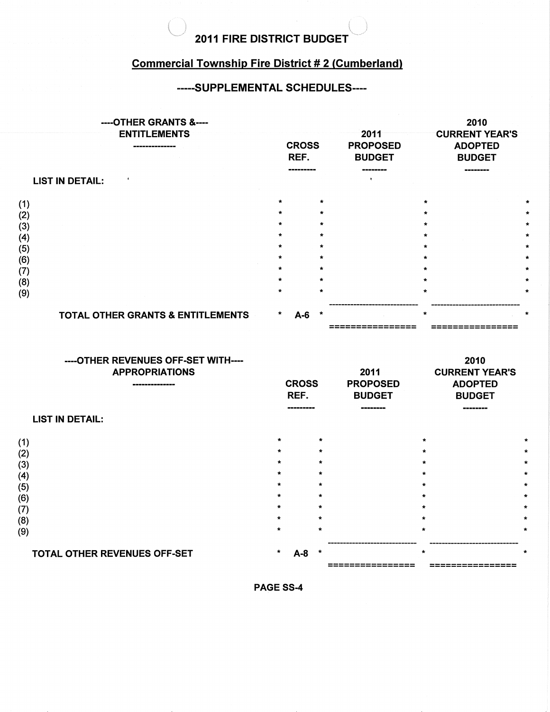## $\left(\right)$ 2011 FIRE DISTRICT BUDGET

 $\langle \quad |$ 

#### Commercial Township Fire District # 2 (Cumberland)

#### -----SUPPLEMENTAL SCHEDULES----

|                                                             | ----OTHER GRANTS &----<br><b>ENTITLEMENTS</b><br>------------ | <b>CROSS</b><br>REF.                                                                                          |                                                                                                 | 2011<br><b>PROPOSED</b><br><b>BUDGET</b> | 2010<br><b>CURRENT YEAR'S</b><br><b>ADOPTED</b><br><b>BUDGET</b>                            |                          |
|-------------------------------------------------------------|---------------------------------------------------------------|---------------------------------------------------------------------------------------------------------------|-------------------------------------------------------------------------------------------------|------------------------------------------|---------------------------------------------------------------------------------------------|--------------------------|
|                                                             | <b>LIST IN DETAIL:</b>                                        |                                                                                                               |                                                                                                 |                                          |                                                                                             |                          |
| (1)<br>(2)<br>(3)<br>(4)<br>(5)<br>(6)<br>(7)<br>(8)<br>(9) | <b>TOTAL OTHER GRANTS &amp; ENTITLEMENTS</b>                  | $\star$<br>$\star$<br>$\star$<br>$\star$<br>$\star$<br>$\star$<br>$\star$<br>$\star$<br>$\star$<br>*<br>$A-6$ | $\star$<br>$\star$<br>$\star$<br>$\star$<br>$\star$<br>$\star$<br>$\star$<br>$\star$<br>$\star$ |                                          | $\star$<br>$\star$<br>$\star$<br>$\star$<br>÷<br>$\star$<br>$\bullet$<br>$\star$<br>$\star$ | ÷.<br>$\star$<br>$\star$ |
|                                                             | OTHER REVENHES OFF-SET WITH                                   |                                                                                                               |                                                                                                 |                                          | 2010                                                                                        |                          |

| ־טווונו/ ו/בס־טווס טוויס ביטוווו<br><b>APPROPRIATIONS</b><br>----------------<br><b>LIST IN DETAIL:</b> |         | <b>CROSS</b><br>REF.<br>-------- |         | 2011<br><b>PROPOSED</b><br><b>BUDGET</b> | LV IV<br><b>CURRENT YEAR'S</b><br><b>ADOPTED</b><br><b>BUDGET</b><br>------- |              |
|---------------------------------------------------------------------------------------------------------|---------|----------------------------------|---------|------------------------------------------|------------------------------------------------------------------------------|--------------|
|                                                                                                         |         |                                  |         |                                          |                                                                              |              |
| (1)                                                                                                     | $\star$ |                                  | $\star$ |                                          | $\star$                                                                      | ÷            |
| (2)                                                                                                     | $\star$ |                                  | $\star$ |                                          | $\star$                                                                      | Á            |
| (3)                                                                                                     | $\star$ |                                  | $\star$ |                                          | $\star$                                                                      | $\pmb{\ast}$ |
| (4)                                                                                                     | $\star$ |                                  | $\star$ |                                          | $\star$                                                                      | $\star$      |
| (5)                                                                                                     | $\star$ |                                  | $\star$ |                                          | ÷                                                                            | $\star$      |
| (6)                                                                                                     | $\star$ |                                  | $\star$ |                                          | $\star$                                                                      | $\star$      |
| (7)                                                                                                     | $\star$ |                                  | $\star$ |                                          | $\star$                                                                      | $\star$      |
| (8)                                                                                                     | $\star$ |                                  | $\star$ |                                          | $\mathcal{R}$                                                                | $\star$      |
| (9)                                                                                                     | $\star$ |                                  | $\star$ |                                          | $\star$                                                                      | $\star$      |
|                                                                                                         |         |                                  |         |                                          |                                                                              |              |
| TOTAL OTHER REVENUES OFF-SET                                                                            | $\star$ | A-8                              |         |                                          | $\star$                                                                      |              |
|                                                                                                         |         |                                  |         |                                          | ==========                                                                   |              |

PAGE SS-4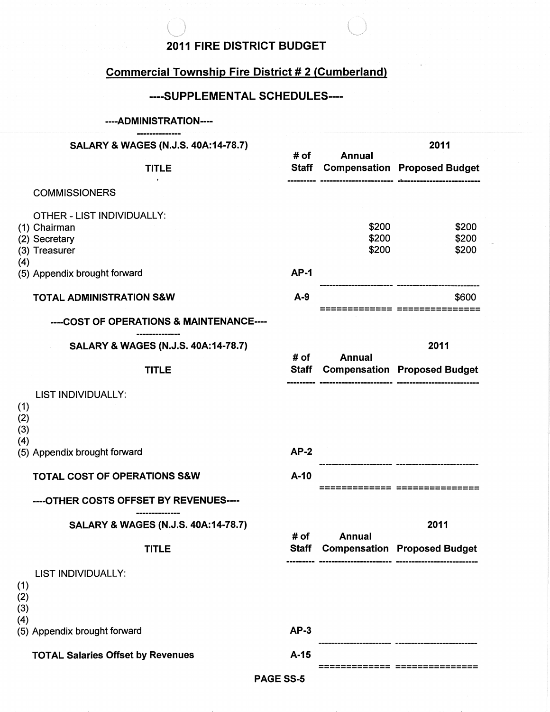#### **2011 FIRE DISTRICT BUDGET**

# **Commercial Township Fire District # 2 (Cumberland)**

### ----SUPPLEMENTAL SCHEDULES----

#### .--.ADMINISTRATION--

|                   | --------------<br><b>SALARY &amp; WAGES (N.J.S. 40A:14-78.7)</b><br><b>TITLE</b> |                      |                         | 2011<br><b>Staff Compensation Proposed Budget</b> |  |
|-------------------|----------------------------------------------------------------------------------|----------------------|-------------------------|---------------------------------------------------|--|
|                   |                                                                                  |                      | <b>Annual</b>           |                                                   |  |
|                   | <b>COMMISSIONERS</b>                                                             |                      |                         |                                                   |  |
|                   | OTHER - LIST INDIVIDUALLY:<br>(1) Chairman<br>(2) Secretary<br>(3) Treasurer     |                      | \$200<br>\$200<br>\$200 | \$200<br>\$200<br>\$200                           |  |
| (4)               | (5) Appendix brought forward                                                     | $AP-1$               |                         |                                                   |  |
|                   | <b>TOTAL ADMINISTRATION S&amp;W</b>                                              | $A-9$                |                         | \$600                                             |  |
|                   | ----COST OF OPERATIONS & MAINTENANCE----                                         |                      |                         |                                                   |  |
|                   | <b>SALARY &amp; WAGES (N.J.S. 40A:14-78.7)</b>                                   | # of                 | <b>Annual</b>           | 2011                                              |  |
|                   | <b>TITLE</b>                                                                     | Staff                |                         | <b>Compensation Proposed Budget</b>               |  |
| (1)<br>(2)<br>(3) | <b>LIST INDIVIDUALLY:</b>                                                        |                      |                         |                                                   |  |
| (4)               | (5) Appendix brought forward                                                     | $AP-2$               |                         |                                                   |  |
|                   | <b>TOTAL COST OF OPERATIONS S&amp;W</b>                                          | $A-10$               |                         | -------- -----------                              |  |
|                   | ----OTHER COSTS OFFSET BY REVENUES----                                           |                      |                         |                                                   |  |
|                   | SALARY & WAGES (N.J.S. 40A:14-78.7)                                              |                      |                         | 2011                                              |  |
|                   | <b>TITLE</b>                                                                     | # of<br><b>Staff</b> | Annual                  | <b>Compensation Proposed Budget</b>               |  |
| (1)<br>(2)<br>(3) | LIST INDIVIDUALLY:                                                               |                      |                         |                                                   |  |
| (4)               | (5) Appendix brought forward                                                     | $AP-3$               |                         |                                                   |  |
|                   | <b>TOTAL Salaries Offset by Revenues</b>                                         | $A-15$               |                         |                                                   |  |

PAGE SS-5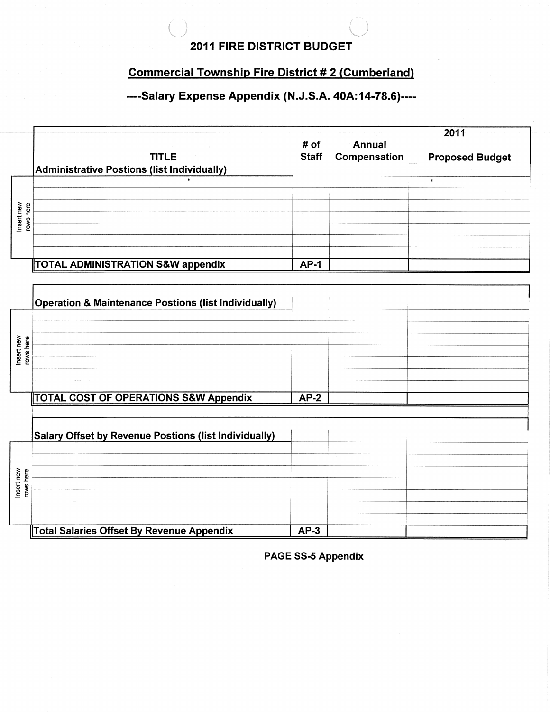### **2011 FIRE DISTRICT BUDGET**

# **Commercial Township Fire District #2 (Cumberland)**

# ----Salary Expense Appendix (N.J.S.A. 40A:14-78.6)----

|                         |                                                                 |              |               | 2011                   |
|-------------------------|-----------------------------------------------------------------|--------------|---------------|------------------------|
|                         |                                                                 | # of         | <b>Annual</b> |                        |
|                         | <b>TITLE</b>                                                    | <b>Staff</b> | Compensation  | <b>Proposed Budget</b> |
|                         | Administrative Postions (list Individually)                     |              |               |                        |
|                         |                                                                 |              |               | $\bullet$              |
|                         |                                                                 |              |               |                        |
|                         |                                                                 |              |               |                        |
| Insert new<br>rows here |                                                                 |              |               |                        |
|                         |                                                                 |              |               |                        |
|                         |                                                                 |              |               |                        |
|                         |                                                                 |              |               |                        |
|                         | TOTAL ADMINISTRATION S&W appendix                               | $AP-1$       |               |                        |
|                         |                                                                 |              |               |                        |
|                         |                                                                 |              |               |                        |
|                         | <b>Operation &amp; Maintenance Postions (list Individually)</b> |              |               |                        |
|                         |                                                                 |              |               |                        |
|                         |                                                                 |              |               |                        |
| Insert new              |                                                                 |              |               |                        |
| rows here               |                                                                 |              |               |                        |
|                         |                                                                 |              |               |                        |

|                         | TOTAL COST OF OPERATIONS S&W Appendix                        | $AP-2$ |  |
|-------------------------|--------------------------------------------------------------|--------|--|
|                         |                                                              |        |  |
|                         |                                                              |        |  |
|                         | <b>Salary Offset by Revenue Postions (list Individually)</b> |        |  |
|                         |                                                              |        |  |
|                         |                                                              |        |  |
|                         |                                                              |        |  |
| Insert new<br>rows here |                                                              |        |  |
|                         |                                                              |        |  |
|                         |                                                              |        |  |
|                         |                                                              |        |  |
|                         | Total Salaries Offset By Revenue Appendix                    | $AP-3$ |  |

**PAGE SS-5 Appendix**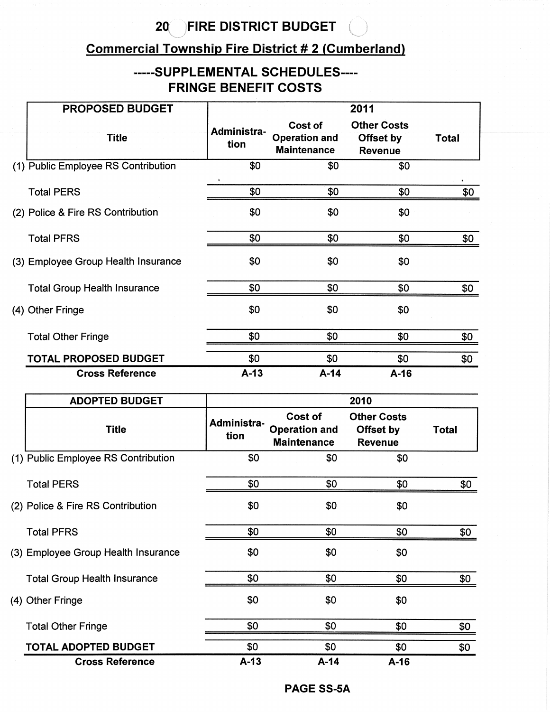#### $20<sup>7</sup>$ **FIRE DISTRICT BUDGET**

# **Commercial Township Fire District # 2 (Cumberland)**

# -----SUPPLEMENTAL SCHEDULES----**FRINGE BENEFIT COSTS**

| <b>PROPOSED BUDGET</b>              |                     |                                                       | 2011                                              |              |
|-------------------------------------|---------------------|-------------------------------------------------------|---------------------------------------------------|--------------|
| <b>Title</b>                        | Administra-<br>tion | Cost of<br><b>Operation and</b><br><b>Maintenance</b> | <b>Other Costs</b><br>Offset by<br><b>Revenue</b> | <b>Total</b> |
| (1) Public Employee RS Contribution | \$0                 | \$0                                                   | \$0                                               |              |
| <b>Total PERS</b>                   | \$0                 | \$0                                                   | \$0                                               | \$0          |
| (2) Police & Fire RS Contribution   | \$0                 | \$0                                                   | \$0                                               |              |
| <b>Total PFRS</b>                   | \$0                 | \$0                                                   | \$0                                               | \$0          |
| (3) Employee Group Health Insurance | \$0                 | \$0                                                   | \$0                                               |              |
| <b>Total Group Health Insurance</b> | \$0                 | \$0                                                   | \$0                                               | \$0          |
| (4) Other Fringe                    | \$0                 | \$0                                                   | \$0                                               |              |
| <b>Total Other Fringe</b>           | \$0                 | \$0                                                   | \$0                                               | \$0          |
| <b>TOTAL PROPOSED BUDGET</b>        | \$0                 | \$0                                                   | \$0                                               | \$0          |
| <b>Cross Reference</b>              | $A-13$              | $A-14$                                                | $A-16$                                            |              |

| <b>ADOPTED BUDGET</b>               |                     |                                                       | 2010                                              |       |
|-------------------------------------|---------------------|-------------------------------------------------------|---------------------------------------------------|-------|
| <b>Title</b>                        | Administra-<br>tion | Cost of<br><b>Operation and</b><br><b>Maintenance</b> | <b>Other Costs</b><br>Offset by<br><b>Revenue</b> | Total |
| (1) Public Employee RS Contribution | \$0                 | \$0                                                   | \$0                                               |       |
| <b>Total PERS</b>                   | \$0                 | \$0                                                   | \$0                                               | \$0   |
| (2) Police & Fire RS Contribution   | \$0                 | \$0                                                   | \$0                                               |       |
| <b>Total PFRS</b>                   | \$0                 | \$0                                                   | \$0                                               | \$0   |
| (3) Employee Group Health Insurance | \$0                 | \$0                                                   | \$0                                               |       |
| <b>Total Group Health Insurance</b> | \$0                 | \$0                                                   | \$0                                               | \$0   |
| (4) Other Fringe                    | \$0                 | \$0                                                   | \$0                                               |       |
| <b>Total Other Fringe</b>           | \$0                 | \$0                                                   | \$0                                               | \$0   |
| <b>TOTAL ADOPTED BUDGET</b>         | \$0                 | \$0                                                   | \$0                                               | \$0   |
| <b>Cross Reference</b>              | $A-13$              | $A-14$                                                | $A-16$                                            |       |

**PAGE SS-5A**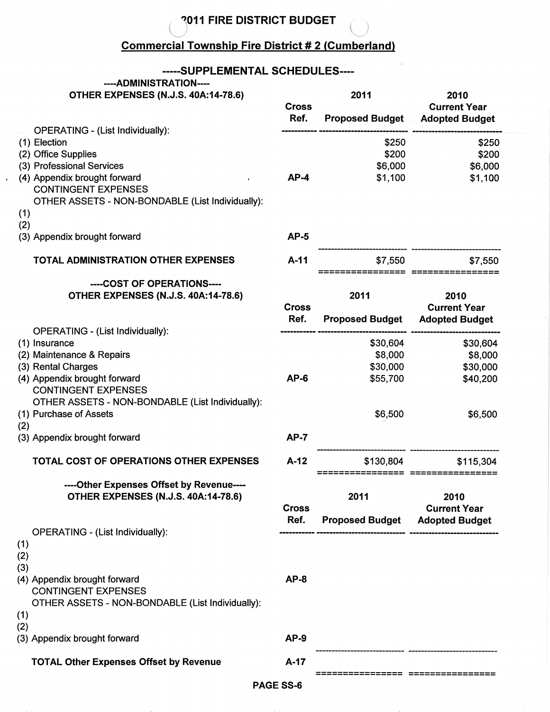# $\bigcirc$ <sup>2011</sup> FIRE DISTRICT BUDGET  $\bigcirc$

#### **Commercial Township Fire District # 2 (Cumberland)**

#### -----SUPPLEMENTAL SCHEDULES----

# ----ADMINISTRATION----

 $\mathbf{r}$ 

|  | <b>OTHER EXPENSES (N.J.S. 40A:14-78.6)</b> |
|--|--------------------------------------------|
|--|--------------------------------------------|

 $\sqrt{2}$ 

| OTHER EXPENSES (N.J.S. 40A:14-78.6)                        | <b>Cross</b><br>Ref. | 2011<br><b>Proposed Budget</b>    | 2010<br><b>Current Year</b><br><b>Adopted Budget</b> |
|------------------------------------------------------------|----------------------|-----------------------------------|------------------------------------------------------|
| <b>OPERATING - (List Individually):</b>                    |                      |                                   |                                                      |
| (1) Election                                               |                      | \$250                             | \$250                                                |
| (2) Office Supplies                                        |                      | \$200                             | \$200                                                |
| (3) Professional Services                                  |                      | \$6,000                           | \$6,000                                              |
| (4) Appendix brought forward                               | $AP-4$               | \$1,100                           | \$1,100                                              |
| <b>CONTINGENT EXPENSES</b>                                 |                      |                                   |                                                      |
| OTHER ASSETS - NON-BONDABLE (List Individually):           |                      |                                   |                                                      |
| (1)                                                        |                      |                                   |                                                      |
| (2)                                                        |                      |                                   |                                                      |
| (3) Appendix brought forward                               | $AP-5$               |                                   |                                                      |
|                                                            |                      |                                   |                                                      |
| <b>TOTAL ADMINISTRATION OTHER EXPENSES</b>                 | $A-11$               | \$7,550                           | \$7,550                                              |
|                                                            |                      |                                   |                                                      |
| ----COST OF OPERATIONS----                                 |                      |                                   |                                                      |
| OTHER EXPENSES (N.J.S. 40A:14-78.6)                        |                      | 2011                              | 2010                                                 |
|                                                            | <b>Cross</b>         |                                   | <b>Current Year</b>                                  |
|                                                            | Ref.                 | <b>Proposed Budget</b>            | <b>Adopted Budget</b>                                |
| <b>OPERATING - (List Individually):</b>                    |                      |                                   |                                                      |
| (1) Insurance                                              |                      | \$30,604                          | \$30,604                                             |
| (2) Maintenance & Repairs                                  |                      | \$8,000                           | \$8,000                                              |
| (3) Rental Charges                                         | $AP-6$               | \$30,000                          | \$30,000                                             |
| (4) Appendix brought forward<br><b>CONTINGENT EXPENSES</b> |                      | \$55,700                          | \$40,200                                             |
| OTHER ASSETS - NON-BONDABLE (List Individually):           |                      |                                   |                                                      |
|                                                            |                      |                                   |                                                      |
| (1) Purchase of Assets                                     |                      | \$6,500                           | \$6,500                                              |
| (2)<br>(3) Appendix brought forward                        | $AP-7$               |                                   |                                                      |
|                                                            |                      |                                   |                                                      |
| <b>TOTAL COST OF OPERATIONS OTHER EXPENSES</b>             | $A-12$               | \$130,804                         | \$115,304                                            |
|                                                            |                      |                                   |                                                      |
| ----Other Expenses Offset by Revenue----                   |                      |                                   |                                                      |
| OTHER EXPENSES (N.J.S. 40A:14-78.6)                        |                      | 2011                              | 2010                                                 |
|                                                            | <b>Cross</b>         |                                   | <b>Current Year</b>                                  |
|                                                            | Ref.                 | <b>Proposed Budget</b>            | <b>Adopted Budget</b>                                |
| OPERATING - (List Individually):                           |                      |                                   |                                                      |
| (1)                                                        |                      |                                   |                                                      |
| (2)                                                        |                      |                                   |                                                      |
| (3)                                                        |                      |                                   |                                                      |
| (4) Appendix brought forward                               | $AP-8$               |                                   |                                                      |
| <b>CONTINGENT EXPENSES</b>                                 |                      |                                   |                                                      |
| OTHER ASSETS - NON-BONDABLE (List Individually):           |                      |                                   |                                                      |
| (1)                                                        |                      |                                   |                                                      |
| (2)                                                        |                      |                                   |                                                      |
| (3) Appendix brought forward                               | $AP-9$               |                                   |                                                      |
| <b>TOTAL Other Expenses Offset by Revenue</b>              | $A-17$               |                                   |                                                      |
|                                                            |                      | ================ ================ |                                                      |
|                                                            | PAGE SS-6            |                                   |                                                      |